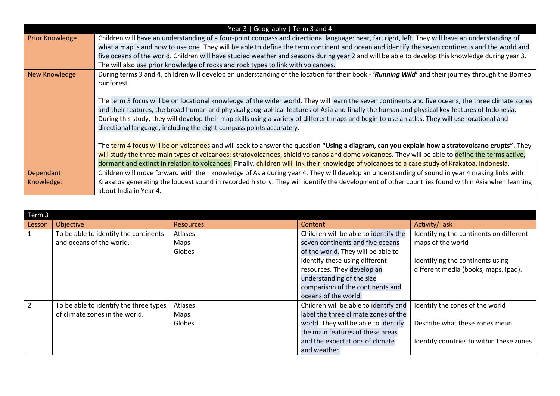|                        | Year 3   Geography   Term 3 and 4                                                                                                                  |
|------------------------|----------------------------------------------------------------------------------------------------------------------------------------------------|
| <b>Prior Knowledge</b> | Children will have an understanding of a four-point compass and directional language: near, far, right, left. They will have an understanding of   |
|                        | what a map is and how to use one. They will be able to define the term continent and ocean and identify the seven continents and the world and     |
|                        | five oceans of the world. Children will have studied weather and seasons during year 2 and will be able to develop this knowledge during year 3.   |
|                        | The will also use prior knowledge of rocks and rock types to link with volcanoes.                                                                  |
| New Knowledge:         | During terms 3 and 4, children will develop an understanding of the location for their book - 'Running Wild' and their journey through the Borneo  |
|                        | rainforest.                                                                                                                                        |
|                        |                                                                                                                                                    |
|                        | The term 3 focus will be on locational knowledge of the wider world. They will learn the seven continents and five oceans, the three climate zones |
|                        | and their features, the broad human and physical geographical features of Asia and finally the human and physical key features of Indonesia.       |
|                        | During this study, they will develop their map skills using a variety of different maps and begin to use an atlas. They will use locational and    |
|                        | directional language, including the eight compass points accurately.                                                                               |
|                        |                                                                                                                                                    |
|                        | The term 4 focus will be on volcanoes and will seek to answer the question "Using a diagram, can you explain how a stratovolcano erupts". They     |
|                        | will study the three main types of volcanoes; stratovolcanoes, shield volcanos and dome volcanoes. They will be able to define the terms active,   |
|                        | dormant and extinct in relation to volcanoes. Finally, children will link their knowledge of volcanoes to a case study of Krakatoa, Indonesia.     |
| Dependant              | Children will move forward with their knowledge of Asia during year 4. They will develop an understanding of sound in year 4 making links with     |
| Knowledge:             | Krakatoa generating the loudest sound in recorded history. They will identify the development of other countries found within Asia when learning   |
|                        | about India in Year 4.                                                                                                                             |

| Term 3         |                                        |                  |                                       |                                          |  |
|----------------|----------------------------------------|------------------|---------------------------------------|------------------------------------------|--|
| Lesson         | Objective                              | <b>Resources</b> | Content                               | Activity/Task                            |  |
|                | To be able to identify the continents  | Atlases          | Children will be able to identify the | Identifying the continents on different  |  |
|                | and oceans of the world.               | Maps             | seven continents and five oceans      | maps of the world                        |  |
|                |                                        | Globes           | of the world. They will be able to    |                                          |  |
|                |                                        |                  | identify these using different        | Identifying the continents using         |  |
|                |                                        |                  | resources. They develop an            | different media (books, maps, ipad).     |  |
|                |                                        |                  | understanding of the size             |                                          |  |
|                |                                        |                  | comparison of the continents and      |                                          |  |
|                |                                        |                  | oceans of the world.                  |                                          |  |
| $\mathfrak{D}$ | To be able to identify the three types | Atlases          | Children will be able to identify and | Identify the zones of the world          |  |
|                | of climate zones in the world.         | Maps             | label the three climate zones of the  |                                          |  |
|                |                                        | Globes           | world. They will be able to identify  | Describe what these zones mean           |  |
|                |                                        |                  | the main features of these areas      |                                          |  |
|                |                                        |                  | and the expectations of climate       | Identify countries to within these zones |  |
|                |                                        |                  | and weather.                          |                                          |  |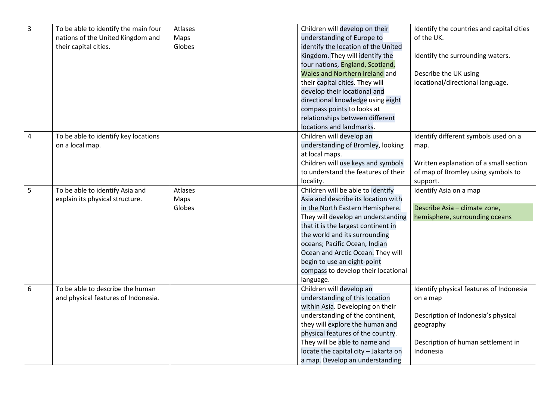| $\overline{3}$ | To be able to identify the main four | Atlases | Children will develop on their       | Identify the countries and capital cities |
|----------------|--------------------------------------|---------|--------------------------------------|-------------------------------------------|
|                | nations of the United Kingdom and    | Maps    | understanding of Europe to           | of the UK.                                |
|                | their capital cities.                | Globes  | identify the location of the United  |                                           |
|                |                                      |         | Kingdom. They will identify the      | Identify the surrounding waters.          |
|                |                                      |         | four nations, England, Scotland,     |                                           |
|                |                                      |         | Wales and Northern Ireland and       | Describe the UK using                     |
|                |                                      |         | their capital cities. They will      | locational/directional language.          |
|                |                                      |         | develop their locational and         |                                           |
|                |                                      |         | directional knowledge using eight    |                                           |
|                |                                      |         | compass points to looks at           |                                           |
|                |                                      |         | relationships between different      |                                           |
|                |                                      |         | locations and landmarks.             |                                           |
| 4              | To be able to identify key locations |         | Children will develop an             | Identify different symbols used on a      |
|                | on a local map.                      |         | understanding of Bromley, looking    | map.                                      |
|                |                                      |         | at local maps.                       |                                           |
|                |                                      |         | Children will use keys and symbols   | Written explanation of a small section    |
|                |                                      |         | to understand the features of their  | of map of Bromley using symbols to        |
|                |                                      |         | locality.                            | support.                                  |
| $\overline{5}$ | To be able to identify Asia and      | Atlases | Children will be able to identify    | Identify Asia on a map                    |
|                | explain its physical structure.      | Maps    | Asia and describe its location with  |                                           |
|                |                                      | Globes  | in the North Eastern Hemisphere.     | Describe Asia - climate zone,             |
|                |                                      |         | They will develop an understanding   | hemisphere, surrounding oceans            |
|                |                                      |         | that it is the largest continent in  |                                           |
|                |                                      |         | the world and its surrounding        |                                           |
|                |                                      |         | oceans; Pacific Ocean, Indian        |                                           |
|                |                                      |         | Ocean and Arctic Ocean. They will    |                                           |
|                |                                      |         | begin to use an eight-point          |                                           |
|                |                                      |         | compass to develop their locational  |                                           |
|                |                                      |         | language.                            |                                           |
| 6              | To be able to describe the human     |         | Children will develop an             | Identify physical features of Indonesia   |
|                | and physical features of Indonesia.  |         | understanding of this location       | on a map                                  |
|                |                                      |         | within Asia. Developing on their     |                                           |
|                |                                      |         | understanding of the continent,      | Description of Indonesia's physical       |
|                |                                      |         | they will explore the human and      | geography                                 |
|                |                                      |         | physical features of the country.    |                                           |
|                |                                      |         | They will be able to name and        | Description of human settlement in        |
|                |                                      |         | locate the capital city - Jakarta on | Indonesia                                 |
|                |                                      |         | a map. Develop an understanding      |                                           |